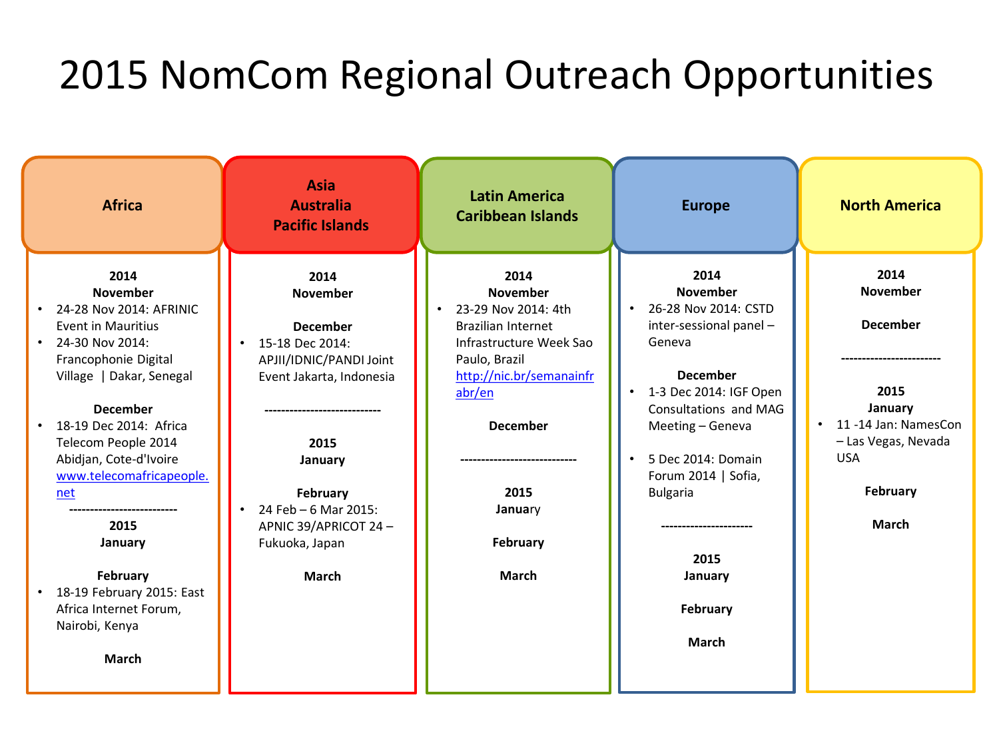## 2015 NomCom Regional Outreach Opportunities